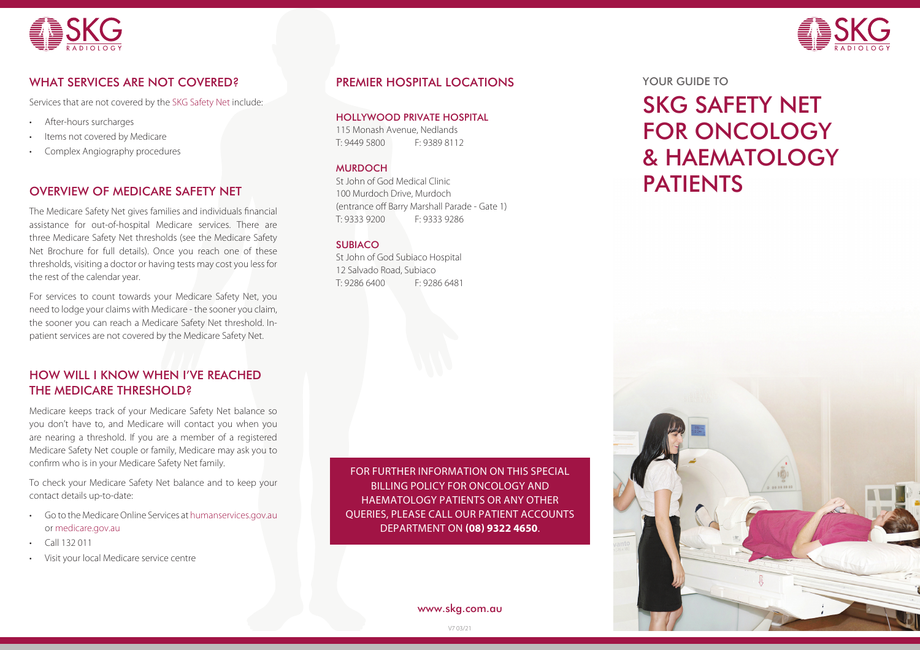



# WHAT SERVICES ARE NOT COVERED?

Services that are not covered by the SKG Safety Net include:

- After-hours surcharges
- Items not covered by Medicare
- Complex Angiography procedures

## OVERVIEW OF MEDICARE SAFETY NET

The Medicare Safety Net gives families and individuals financial assistance for out-of-hospital Medicare services. There are three Medicare Safety Net thresholds (see the Medicare Safety Net Brochure for full details). Once you reach one of these thresholds, visiting a doctor or having tests may cost you less for the rest of the calendar year.

For services to count towards your Medicare Safety Net, you need to lodge your claims with Medicare - the sooner you claim, the sooner you can reach a Medicare Safety Net threshold. Inpatient services are not covered by the Medicare Safety Net.

# HOW WILL I KNOW WHEN I'VE REACHED THE MEDICARE THRESHOLD?

Medicare keeps track of your Medicare Safety Net balance so you don't have to, and Medicare will contact you when you are nearing a threshold. If you are a member of a registered Medicare Safety Net couple or family, Medicare may ask you to confirm who is in your Medicare Safety Net family.

To check your Medicare Safety Net balance and to keep your contact details up-to-date:

- Go to the Medicare Online Services at humanservices.gov.au or medicare.gov.au
- Call 132 011
- Visit your local Medicare service centre

## PREMIER HOSPITAL LOCATIONS

HOLLYWOOD PRIVATE HOSPITAL

115 Monash Avenue, Nedlands T: 9449 5800 F: 9389 8112

#### **MURDOCH**

St John of God Medical Clinic 100 Murdoch Drive, Murdoch (entrance off Barry Marshall Parade - Gate 1) T: 9333 9200 F: 9333 9286

#### **SUBIACO**

St John of God Subiaco Hospital 12 Salvado Road, Subiaco T: 9286 6400 F: 9286 6481

FOR FURTHER INFORMATION ON THIS SPECIAL BILLING POLICY FOR ONCOLOGY AND HAEMATOLOGY PATIENTS OR ANY OTHER QUERIES, PLEASE CALL OUR PATIENT ACCOUNTS DEPARTMENT ON **(08) 9322 4650**.

www.skg.com.au

YOUR GUIDE TO

# SKG SAFETY NET FOR ONCOLOGY & HAEMATOLOGY PATIENTS